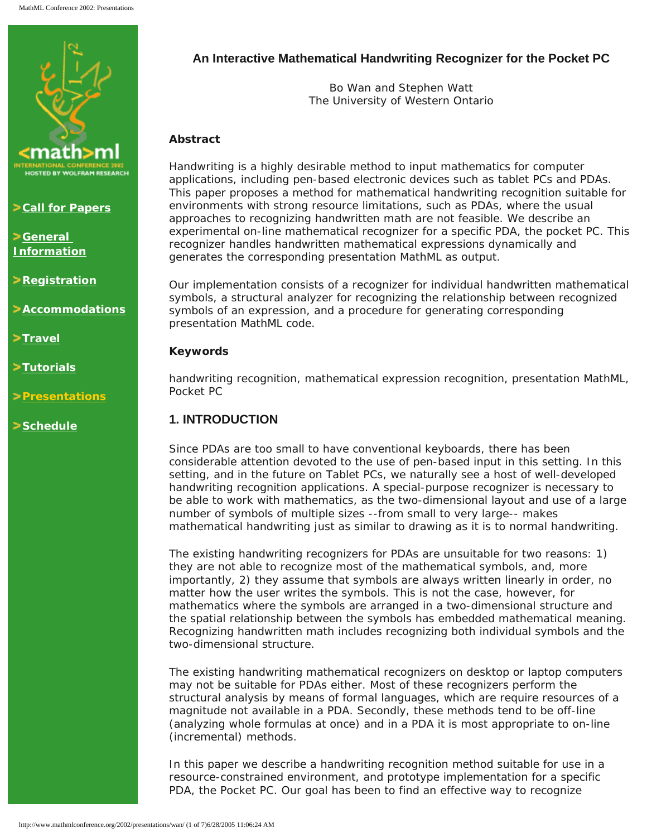

**Zall for Papers** 

**[General](http://www.mathmlconference.org/2002/info.html)  [Information](http://www.mathmlconference.org/2002/info.html)**

**Example 2 [Registration](http://www.wolfram.com/mathmlconference/register.cgi)** 

**[Accommodations](http://www.mathmlconference.org/2002/accommodations.html)**

**>[Travel](http://www.mathmlconference.org/2002/travel.html)** 

**[Tutorials](http://www.mathmlconference.org/2002/tutorials.html)**

**[Presentations](http://www.mathmlconference.org/2002/presentations.html)**

**[Schedule](http://www.mathmlconference.org/2002/schedule.html)**

# **An Interactive Mathematical Handwriting Recognizer for the Pocket PC**

Bo Wan and Stephen Watt The University of Western Ontario

# **Abstract**

Handwriting is a highly desirable method to input mathematics for computer applications, including pen-based electronic devices such as tablet PCs and PDAs. This paper proposes a method for mathematical handwriting recognition suitable for environments with strong resource limitations, such as PDAs, where the usual approaches to recognizing handwritten math are not feasible. We describe an experimental on-line mathematical recognizer for a specific PDA, the pocket PC. This recognizer handles handwritten mathematical expressions dynamically and generates the corresponding presentation MathML as output.

Our implementation consists of a recognizer for individual handwritten mathematical symbols, a structural analyzer for recognizing the relationship between recognized symbols of an expression, and a procedure for generating corresponding presentation MathML code.

# **Keywords**

handwriting recognition, mathematical expression recognition, presentation MathML, Pocket PC

# **1. INTRODUCTION**

Since PDAs are too small to have conventional keyboards, there has been considerable attention devoted to the use of pen-based input in this setting. In this setting, and in the future on Tablet PCs, we naturally see a host of well-developed handwriting recognition applications. A special-purpose recognizer is necessary to be able to work with mathematics, as the two-dimensional layout and use of a large number of symbols of multiple sizes --from small to very large-- makes mathematical handwriting just as similar to drawing as it is to normal handwriting.

The existing handwriting recognizers for PDAs are unsuitable for two reasons: 1) they are not able to recognize most of the mathematical symbols, and, more importantly, 2) they assume that symbols are always written linearly in order, no matter how the user writes the symbols. This is not the case, however, for mathematics where the symbols are arranged in a two-dimensional structure and the spatial relationship between the symbols has embedded mathematical meaning. Recognizing handwritten math includes recognizing both individual symbols and the two-dimensional structure.

The existing handwriting mathematical recognizers on desktop or laptop computers may not be suitable for PDAs either. Most of these recognizers perform the structural analysis by means of formal languages, which are require resources of a magnitude not available in a PDA. Secondly, these methods tend to be off-line (analyzing whole formulas at once) and in a PDA it is most appropriate to on-line (incremental) methods.

In this paper we describe a handwriting recognition method suitable for use in a resource-constrained environment, and prototype implementation for a specific PDA, the Pocket PC. Our goal has been to find an effective way to recognize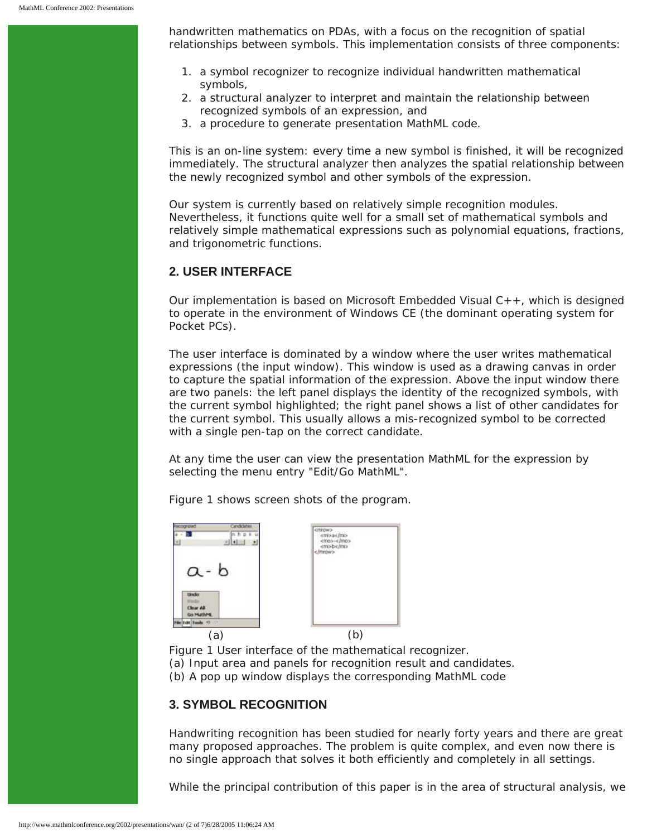handwritten mathematics on PDAs, with a focus on the recognition of spatial relationships between symbols. This implementation consists of three components:

- 1. a symbol recognizer to recognize individual handwritten mathematical symbols,
- 2. a structural analyzer to interpret and maintain the relationship between recognized symbols of an expression, and
- 3. a procedure to generate presentation MathML code.

This is an on-line system: every time a new symbol is finished, it will be recognized immediately. The structural analyzer then analyzes the spatial relationship between the newly recognized symbol and other symbols of the expression.

Our system is currently based on relatively simple recognition modules. Nevertheless, it functions quite well for a small set of mathematical symbols and relatively simple mathematical expressions such as polynomial equations, fractions, and trigonometric functions.

## **2. USER INTERFACE**

Our implementation is based on Microsoft Embedded Visual C++, which is designed to operate in the environment of Windows CE (the dominant operating system for Pocket PCs).

The user interface is dominated by a window where the user writes mathematical expressions (the input window). This window is used as a drawing canvas in order to capture the spatial information of the expression. Above the input window there are two panels: the left panel displays the identity of the recognized symbols, with the current symbol highlighted; the right panel shows a list of other candidates for the current symbol. This usually allows a mis-recognized symbol to be corrected with a single pen-tap on the correct candidate.

At any time the user can view the presentation MathML for the expression by selecting the menu entry "Edit/Go MathML".

Figure 1 shows screen shots of the program.



Figure 1 User interface of the mathematical recognizer. (a) Input area and panels for recognition result and candidates. (b) A pop up window displays the corresponding MathML code

### **3. SYMBOL RECOGNITION**

Handwriting recognition has been studied for nearly forty years and there are great many proposed approaches. The problem is quite complex, and even now there is no single approach that solves it both efficiently and completely in all settings.

While the principal contribution of this paper is in the area of structural analysis, we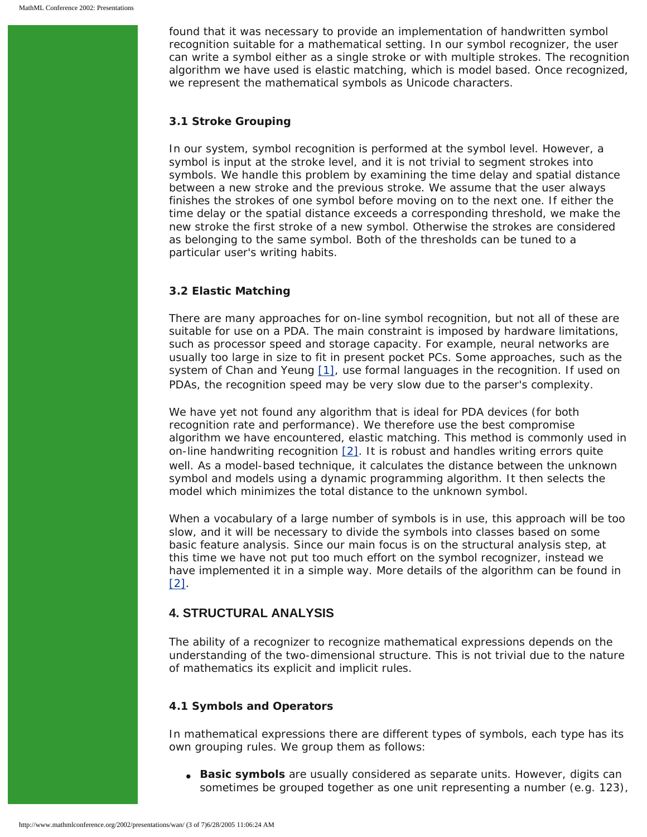found that it was necessary to provide an implementation of handwritten symbol recognition suitable for a mathematical setting. In our symbol recognizer, the user can write a symbol either as a single stroke or with multiple strokes. The recognition algorithm we have used is elastic matching, which is model based. Once recognized, we represent the mathematical symbols as Unicode characters.

#### **3.1 Stroke Grouping**

In our system, symbol recognition is performed at the symbol level. However, a symbol is input at the stroke level, and it is not trivial to segment strokes into symbols. We handle this problem by examining the time delay and spatial distance between a new stroke and the previous stroke. We assume that the user always finishes the strokes of one symbol before moving on to the next one. If either the time delay or the spatial distance exceeds a corresponding threshold, we make the new stroke the first stroke of a new symbol. Otherwise the strokes are considered as belonging to the same symbol. Both of the thresholds can be tuned to a particular user's writing habits.

### **3.2 Elastic Matching**

There are many approaches for on-line symbol recognition, but not all of these are suitable for use on a PDA. The main constraint is imposed by hardware limitations, such as processor speed and storage capacity. For example, neural networks are usually too large in size to fit in present pocket PCs. Some approaches, such as the system of Chan and Yeung [\[1\],](#page-5-0) use formal languages in the recognition. If used on PDAs, the recognition speed may be very slow due to the parser's complexity.

We have yet not found any algorithm that is ideal for PDA devices (for both recognition rate and performance). We therefore use the best compromise algorithm we have encountered, elastic matching. This method is commonly used in on-line handwriting recognition  $[2]$ . It is robust and handles writing errors quite well. As a model-based technique, it calculates the distance between the unknown symbol and models using a dynamic programming algorithm. It then selects the model which minimizes the total distance to the unknown symbol.

When a vocabulary of a large number of symbols is in use, this approach will be too slow, and it will be necessary to divide the symbols into classes based on some basic feature analysis. Since our main focus is on the structural analysis step, at this time we have not put too much effort on the symbol recognizer, instead we have implemented it in a simple way. More details of the algorithm can be found in [\[2\].](#page-5-1)

# **4. STRUCTURAL ANALYSIS**

The ability of a recognizer to recognize mathematical expressions depends on the understanding of the two-dimensional structure. This is not trivial due to the nature of mathematics its explicit and implicit rules.

### **4.1 Symbols and Operators**

In mathematical expressions there are different types of symbols, each type has its own grouping rules. We group them as follows:

• **Basic symbols** are usually considered as separate units. However, digits can sometimes be grouped together as one unit representing a number (*e.g.* 123),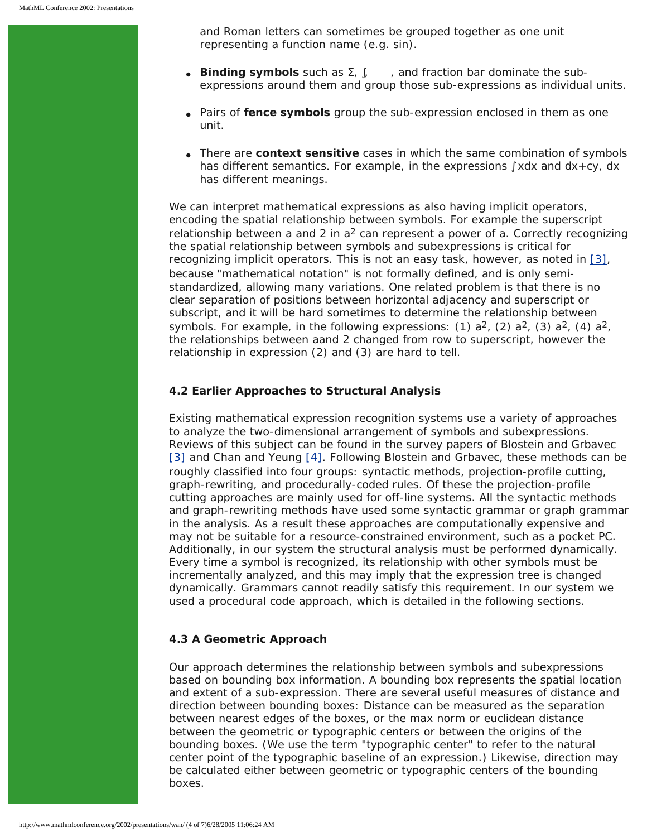and Roman letters can sometimes be grouped together as one unit representing a function name (*e.g.* sin).

- **Binding symbols** such as Σ, ∫, , and fraction bar dominate the subexpressions around them and group those sub-expressions as individual units.
- Pairs of **fence symbols** group the sub-expression enclosed in them as one unit.
- There are **context sensitive** cases in which the same combination of symbols has different semantics. For example, in the expressions ∫ *xdx* and *dx+cy*, *dx* has different meanings.

We can interpret mathematical expressions as also having implicit operators, encoding the spatial relationship between symbols. For example the superscript relationship between *a* and *2* in *a2* can represent a power of *a*. Correctly recognizing the spatial relationship between symbols and subexpressions is critical for recognizing implicit operators. This is not an easy task, however, as noted in [\[3\]](#page-5-2), because "mathematical notation" is not formally defined, and is only semistandardized, allowing many variations. One related problem is that there is no clear separation of positions between horizontal adjacency and superscript or subscript, and it will be hard sometimes to determine the relationship between symbols. For example, in the following expressions: (1)  $a^2$ , (2)  $a^2$ , (3)  $a^2$ , (4)  $a^2$ , the relationships between *a*and *2* changed from row to superscript, however the relationship in expression (2) and (3) are hard to tell.

### **4.2 Earlier Approaches to Structural Analysis**

Existing mathematical expression recognition systems use a variety of approaches to analyze the two-dimensional arrangement of symbols and subexpressions. Reviews of this subject can be found in the survey papers of Blostein and Grbavec [\[3\]](#page-5-2) and Chan and Yeung [\[4\]](#page-6-0). Following Blostein and Grbavec, these methods can be roughly classified into four groups: syntactic methods, projection-profile cutting, graph-rewriting, and procedurally-coded rules. Of these the projection-profile cutting approaches are mainly used for off-line systems. All the syntactic methods and graph-rewriting methods have used some syntactic grammar or graph grammar in the analysis. As a result these approaches are computationally expensive and may not be suitable for a resource-constrained environment, such as a pocket PC. Additionally, in our system the structural analysis must be performed dynamically. Every time a symbol is recognized, its relationship with other symbols must be incrementally analyzed, and this may imply that the expression tree is changed dynamically. Grammars cannot readily satisfy this requirement. In our system we used a procedural code approach, which is detailed in the following sections.

### **4.3 A Geometric Approach**

Our approach determines the relationship between symbols and subexpressions based on bounding box information. A bounding box represents the spatial location and extent of a sub-expression. There are several useful measures of distance and direction between bounding boxes: Distance can be measured as the separation between nearest edges of the boxes, or the max norm or euclidean distance between the geometric or typographic centers or between the origins of the bounding boxes. (We use the term "typographic center" to refer to the natural center point of the typographic baseline of an expression.) Likewise, direction may be calculated either between geometric or typographic centers of the bounding boxes.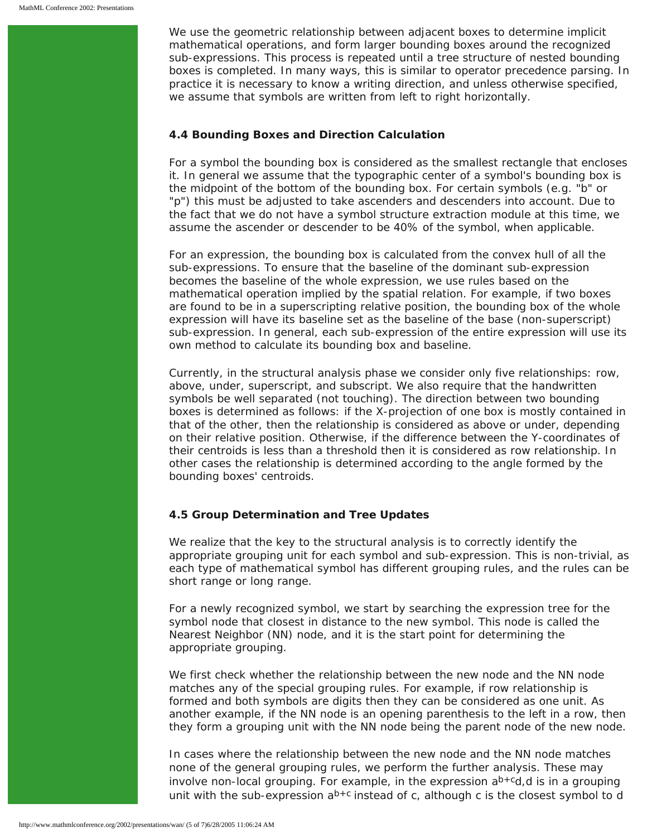We use the geometric relationship between adjacent boxes to determine implicit mathematical operations, and form larger bounding boxes around the recognized sub-expressions. This process is repeated until a tree structure of nested bounding boxes is completed. In many ways, this is similar to operator precedence parsing. In practice it is necessary to know a writing direction, and unless otherwise specified, we assume that symbols are written from left to right horizontally.

#### **4.4 Bounding Boxes and Direction Calculation**

For a symbol the bounding box is considered as the smallest rectangle that encloses it. In general we assume that the typographic center of a symbol's bounding box is the midpoint of the bottom of the bounding box. For certain symbols (*e.g.* "b" or "p") this must be adjusted to take ascenders and descenders into account. Due to the fact that we do not have a symbol structure extraction module at this time, we assume the ascender or descender to be 40% of the symbol, when applicable.

For an expression, the bounding box is calculated from the convex hull of all the sub-expressions. To ensure that the baseline of the dominant sub-expression becomes the baseline of the whole expression, we use rules based on the mathematical operation implied by the spatial relation. For example, if two boxes are found to be in a superscripting relative position, the bounding box of the whole expression will have its baseline set as the baseline of the base (non-superscript) sub-expression. In general, each sub-expression of the entire expression will use its own method to calculate its bounding box and baseline.

Currently, in the structural analysis phase we consider only five relationships: *row*, *above*, *under*, *superscript*, and *subscript*. We also require that the handwritten symbols be well separated (not touching). The direction between two bounding boxes is determined as follows: if the *X*-projection of one box is mostly contained in that of the other, then the relationship is considered as *above* or *under*, depending on their relative position. Otherwise, if the difference between the *Y-*coordinates of their centroids is less than a threshold then it is considered as *row* relationship. In other cases the relationship is determined according to the angle formed by the bounding boxes' centroids.

### **4.5 Group Determination and Tree Updates**

We realize that the key to the structural analysis is to correctly identify the appropriate grouping unit for each symbol and sub-expression. This is non-trivial, as each type of mathematical symbol has different grouping rules, and the rules can be short range or long range.

For a newly recognized symbol, we start by searching the expression tree for the symbol node that closest in distance to the new symbol. This node is called the Nearest Neighbor (NN) node, and it is the start point for determining the appropriate grouping.

We first check whether the relationship between the new node and the NN node matches any of the special grouping rules. For example, if row relationship is formed and both symbols are digits then they can be considered as one unit. As another example, if the NN node is an opening parenthesis to the left in a row, then they form a grouping unit with the NN node being the parent node of the new node.

In cases where the relationship between the new node and the NN node matches none of the general grouping rules, we perform the further analysis. These may involve non-local grouping. For example, in the expression *ab+cd*,*d* is in a grouping unit with the sub-expression *ab+c* instead of *c*, although *c* is the closest symbol to *d*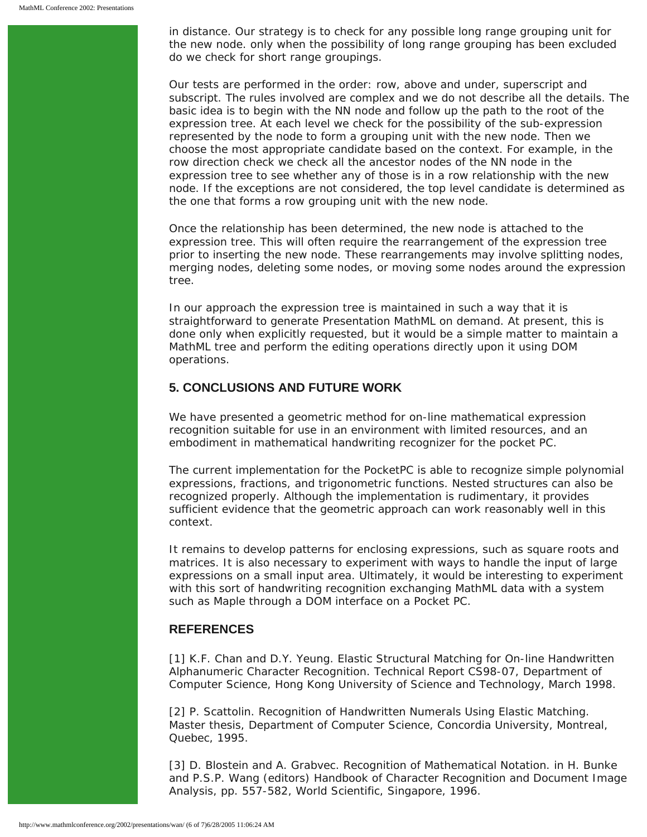in distance. Our strategy is to check for any possible long range grouping unit for the new node. only when the possibility of long range grouping has been excluded do we check for short range groupings.

Our tests are performed in the order: *row*, *above* and *under*, *superscript* and *subscript*. The rules involved are complex and we do not describe all the details. The basic idea is to begin with the NN node and follow up the path to the root of the expression tree. At each level we check for the possibility of the sub-expression represented by the node to form a grouping unit with the new node. Then we choose the most appropriate candidate based on the context. For example, in the *row* direction check we check all the ancestor nodes of the NN node in the expression tree to see whether any of those is in a row relationship with the new node. If the exceptions are not considered, the top level candidate is determined as the one that forms a *row* grouping unit with the new node.

Once the relationship has been determined, the new node is attached to the expression tree. This will often require the rearrangement of the expression tree prior to inserting the new node. These rearrangements may involve splitting nodes, merging nodes, deleting some nodes, or moving some nodes around the expression tree.

In our approach the expression tree is maintained in such a way that it is straightforward to generate Presentation MathML on demand. At present, this is done only when explicitly requested, but it would be a simple matter to maintain a MathML tree and perform the editing operations directly upon it using DOM operations.

## **5. CONCLUSIONS AND FUTURE WORK**

We have presented a geometric method for on-line mathematical expression recognition suitable for use in an environment with limited resources, and an embodiment in mathematical handwriting recognizer for the pocket PC.

The current implementation for the PocketPC is able to recognize simple polynomial expressions, fractions, and trigonometric functions. Nested structures can also be recognized properly. Although the implementation is rudimentary, it provides sufficient evidence that the geometric approach can work reasonably well in this context.

It remains to develop patterns for enclosing expressions, such as square roots and matrices. It is also necessary to experiment with ways to handle the input of large expressions on a small input area. Ultimately, it would be interesting to experiment with this sort of handwriting recognition exchanging MathML data with a system such as Maple through a DOM interface on a Pocket PC.

## **REFERENCES**

<span id="page-5-0"></span>[1] K.F. Chan and D.Y. Yeung. *Elastic Structural Matching for On-line Handwritten Alphanumeric Character Recognition.* Technical Report CS98-07, Department of Computer Science, Hong Kong University of Science and Technology, March 1998.

<span id="page-5-1"></span>[2] P. Scattolin. *Recognition of Handwritten Numerals Using Elastic Matching*. Master thesis, Department of Computer Science, Concordia University, Montreal, Quebec, 1995.

<span id="page-5-2"></span>[3] D. Blostein and A. Grabvec. *Recognition of Mathematical Notation.* in H. Bunke and P.S.P. Wang (editors) Handbook of Character Recognition and Document Image Analysis, pp. 557-582, World Scientific, Singapore, 1996.